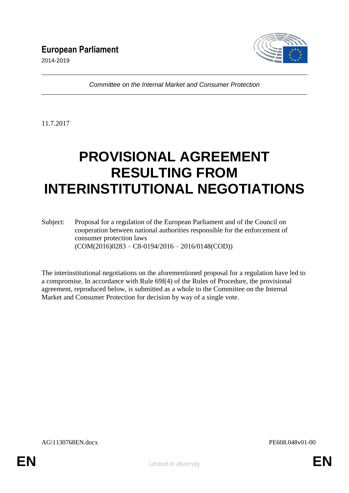

*Committee on the Internal Market and Consumer Protection*

11.7.2017

# **PROVISIONAL AGREEMENT RESULTING FROM INTERINSTITUTIONAL NEGOTIATIONS**

Subject: Proposal for a regulation of the European Parliament and of the Council on cooperation between national authorities responsible for the enforcement of consumer protection laws (COM(2016)0283 – C8-0194/2016 – 2016/0148(COD))

The interinstitutional negotiations on the aforementioned proposal for a regulation have led to a compromise. In accordance with Rule 69f(4) of the Rules of Procedure, the provisional agreement, reproduced below, is submitted as a whole to the Committee on the Internal Market and Consumer Protection for decision by way of a single vote.

AG\1130768EN.docx PE608.048v01-00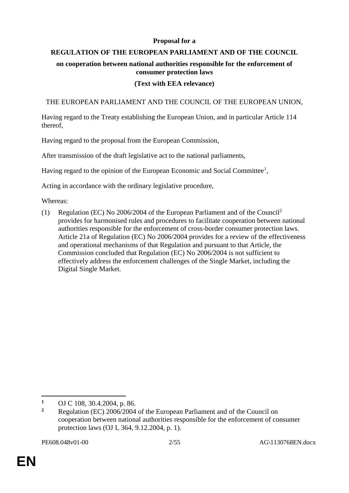## **Proposal for a**

# **REGULATION OF THE EUROPEAN PARLIAMENT AND OF THE COUNCIL**

# **on cooperation between national authorities responsible for the enforcement of consumer protection laws**

# **(Text with EEA relevance)**

# THE EUROPEAN PARLIAMENT AND THE COUNCIL OF THE EUROPEAN UNION,

Having regard to the Treaty establishing the European Union, and in particular Article 114 thereof,

Having regard to the proposal from the European Commission,

After transmission of the draft legislative act to the national parliaments,

Having regard to the opinion of the European Economic and Social Committee<sup>1</sup>,

Acting in accordance with the ordinary legislative procedure,

Whereas:

(1) Regulation (EC) No 2006/2004 of the European Parliament and of the Council<sup>2</sup> provides for harmonised rules and procedures to facilitate cooperation between national authorities responsible for the enforcement of cross-border consumer protection laws. Article 21a of Regulation (EC) No 2006/2004 provides for a review of the effectiveness and operational mechanisms of that Regulation and pursuant to that Article, the Commission concluded that Regulation (EC) No 2006/2004 is not sufficient to effectively address the enforcement challenges of the Single Market, including the Digital Single Market.

 $\overline{a}$ 

<sup>&</sup>lt;sup>1</sup> OJ C 108, 30.4.2004, p. 86.<br><sup>2</sup> Pagyletian (EC) 2006/2004

**<sup>2</sup>** Regulation (EC) 2006/2004 of the European Parliament and of the Council on cooperation between national authorities responsible for the enforcement of consumer protection laws (OJ L 364, 9.12.2004, p. 1).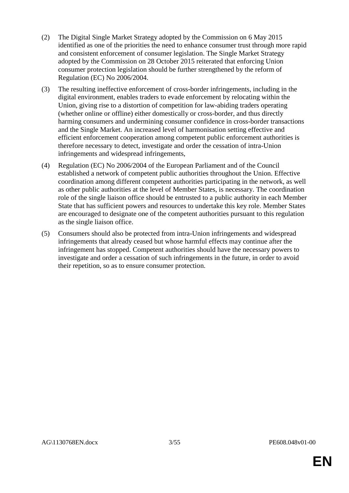- (2) The Digital Single Market Strategy adopted by the Commission on 6 May 2015 identified as one of the priorities the need to enhance consumer trust through more rapid and consistent enforcement of consumer legislation. The Single Market Strategy adopted by the Commission on 28 October 2015 reiterated that enforcing Union consumer protection legislation should be further strengthened by the reform of Regulation (EC) No 2006/2004.
- (3) The resulting ineffective enforcement of cross-border infringements, including in the digital environment, enables traders to evade enforcement by relocating within the Union, giving rise to a distortion of competition for law-abiding traders operating (whether online or offline) either domestically or cross-border, and thus directly harming consumers and undermining consumer confidence in cross-border transactions and the Single Market. An increased level of harmonisation setting effective and efficient enforcement cooperation among competent public enforcement authorities is therefore necessary to detect, investigate and order the cessation of intra-Union infringements and widespread infringements,
- (4) Regulation (EC) No 2006/2004 of the European Parliament and of the Council established a network of competent public authorities throughout the Union. Effective coordination among different competent authorities participating in the network, as well as other public authorities at the level of Member States, is necessary. The coordination role of the single liaison office should be entrusted to a public authority in each Member State that has sufficient powers and resources to undertake this key role. Member States are encouraged to designate one of the competent authorities pursuant to this regulation as the single liaison office.
- (5) Consumers should also be protected from intra-Union infringements and widespread infringements that already ceased but whose harmful effects may continue after the infringement has stopped. Competent authorities should have the necessary powers to investigate and order a cessation of such infringements in the future, in order to avoid their repetition, so as to ensure consumer protection.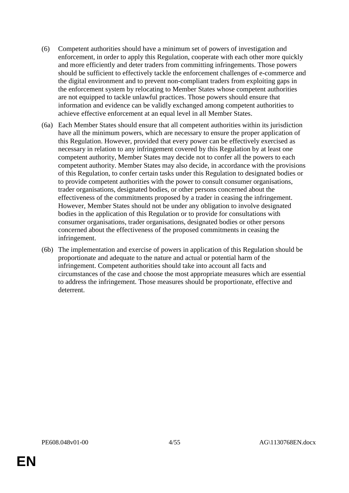- (6) Competent authorities should have a minimum set of powers of investigation and enforcement, in order to apply this Regulation, cooperate with each other more quickly and more efficiently and deter traders from committing infringements. Those powers should be sufficient to effectively tackle the enforcement challenges of e-commerce and the digital environment and to prevent non-compliant traders from exploiting gaps in the enforcement system by relocating to Member States whose competent authorities are not equipped to tackle unlawful practices. Those powers should ensure that information and evidence can be validly exchanged among competent authorities to achieve effective enforcement at an equal level in all Member States.
- (6a) Each Member States should ensure that all competent authorities within its jurisdiction have all the minimum powers, which are necessary to ensure the proper application of this Regulation. However, provided that every power can be effectively exercised as necessary in relation to any infringement covered by this Regulation by at least one competent authority, Member States may decide not to confer all the powers to each competent authority. Member States may also decide, in accordance with the provisions of this Regulation, to confer certain tasks under this Regulation to designated bodies or to provide competent authorities with the power to consult consumer organisations, trader organisations, designated bodies, or other persons concerned about the effectiveness of the commitments proposed by a trader in ceasing the infringement. However, Member States should not be under any obligation to involve designated bodies in the application of this Regulation or to provide for consultations with consumer organisations, trader organisations, designated bodies or other persons concerned about the effectiveness of the proposed commitments in ceasing the infringement.
- (6b) The implementation and exercise of powers in application of this Regulation should be proportionate and adequate to the nature and actual or potential harm of the infringement. Competent authorities should take into account all facts and circumstances of the case and choose the most appropriate measures which are essential to address the infringement. Those measures should be proportionate, effective and deterrent.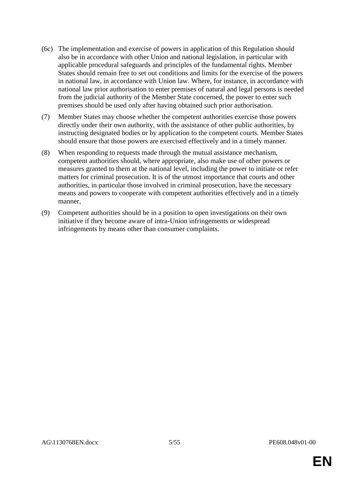- (6c) The implementation and exercise of powers in application of this Regulation should also be in accordance with other Union and national legislation, in particular with applicable procedural safeguards and principles of the fundamental rights. Member States should remain free to set out conditions and limits for the exercise of the powers in national law, in accordance with Union law. Where, for instance, in accordance with national law prior authorisation to enter premises of natural and legal persons is needed from the judicial authority of the Member State concerned, the power to enter such premises should be used only after having obtained such prior authorisation.
- (7) Member States may choose whether the competent authorities exercise those powers directly under their own authority, with the assistance of other public authorities, by instructing designated bodies or by application to the competent courts. Member States should ensure that those powers are exercised effectively and in a timely manner.
- (8) When responding to requests made through the mutual assistance mechanism, competent authorities should, where appropriate, also make use of other powers or measures granted to them at the national level, including the power to initiate or refer matters for criminal prosecution. It is of the utmost importance that courts and other authorities, in particular those involved in criminal prosecution, have the necessary means and powers to cooperate with competent authorities effectively and in a timely manner,
- (9) Competent authorities should be in a position to open investigations on their own initiative if they become aware of intra-Union infringements or widespread infringements by means other than consumer complaints.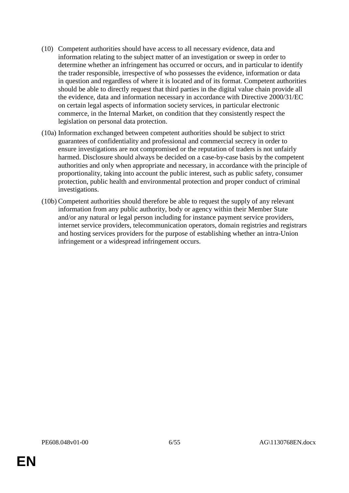- (10) Competent authorities should have access to all necessary evidence, data and information relating to the subject matter of an investigation or sweep in order to determine whether an infringement has occurred or occurs, and in particular to identify the trader responsible, irrespective of who possesses the evidence, information or data in question and regardless of where it is located and of its format. Competent authorities should be able to directly request that third parties in the digital value chain provide all the evidence, data and information necessary in accordance with Directive 2000/31/EC on certain legal aspects of information society services, in particular electronic commerce, in the Internal Market, on condition that they consistently respect the legislation on personal data protection.
- (10a) Information exchanged between competent authorities should be subject to strict guarantees of confidentiality and professional and commercial secrecy in order to ensure investigations are not compromised or the reputation of traders is not unfairly harmed. Disclosure should always be decided on a case-by-case basis by the competent authorities and only when appropriate and necessary, in accordance with the principle of proportionality, taking into account the public interest, such as public safety, consumer protection, public health and environmental protection and proper conduct of criminal investigations.
- (10b) Competent authorities should therefore be able to request the supply of any relevant information from any public authority, body or agency within their Member State and/or any natural or legal person including for instance payment service providers, internet service providers, telecommunication operators, domain registries and registrars and hosting services providers for the purpose of establishing whether an intra-Union infringement or a widespread infringement occurs.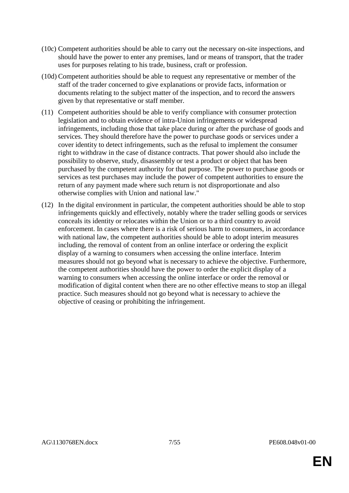- (10c) Competent authorities should be able to carry out the necessary on-site inspections, and should have the power to enter any premises, land or means of transport, that the trader uses for purposes relating to his trade, business, craft or profession.
- (10d) Competent authorities should be able to request any representative or member of the staff of the trader concerned to give explanations or provide facts, information or documents relating to the subject matter of the inspection, and to record the answers given by that representative or staff member.
- (11) Competent authorities should be able to verify compliance with consumer protection legislation and to obtain evidence of intra-Union infringements or widespread infringements, including those that take place during or after the purchase of goods and services. They should therefore have the power to purchase goods or services under a cover identity to detect infringements, such as the refusal to implement the consumer right to withdraw in the case of distance contracts. That power should also include the possibility to observe, study, disassembly or test a product or object that has been purchased by the competent authority for that purpose. The power to purchase goods or services as test purchases may include the power of competent authorities to ensure the return of any payment made where such return is not disproportionate and also otherwise complies with Union and national law."
- (12) In the digital environment in particular, the competent authorities should be able to stop infringements quickly and effectively, notably where the trader selling goods or services conceals its identity or relocates within the Union or to a third country to avoid enforcement. In cases where there is a risk of serious harm to consumers, in accordance with national law, the competent authorities should be able to adopt interim measures including, the removal of content from an online interface or ordering the explicit display of a warning to consumers when accessing the online interface. Interim measures should not go beyond what is necessary to achieve the objective. Furthermore, the competent authorities should have the power to order the explicit display of a warning to consumers when accessing the online interface or order the removal or modification of digital content when there are no other effective means to stop an illegal practice. Such measures should not go beyond what is necessary to achieve the objective of ceasing or prohibiting the infringement.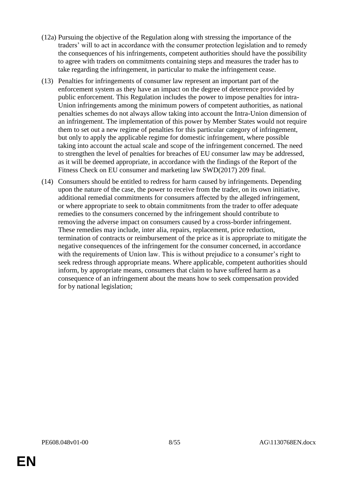- (12a) Pursuing the objective of the Regulation along with stressing the importance of the traders' will to act in accordance with the consumer protection legislation and to remedy the consequences of his infringements, competent authorities should have the possibility to agree with traders on commitments containing steps and measures the trader has to take regarding the infringement, in particular to make the infringement cease.
- (13) Penalties for infringements of consumer law represent an important part of the enforcement system as they have an impact on the degree of deterrence provided by public enforcement. This Regulation includes the power to impose penalties for intra-Union infringements among the minimum powers of competent authorities, as national penalties schemes do not always allow taking into account the Intra-Union dimension of an infringement. The implementation of this power by Member States would not require them to set out a new regime of penalties for this particular category of infringement, but only to apply the applicable regime for domestic infringement, where possible taking into account the actual scale and scope of the infringement concerned. The need to strengthen the level of penalties for breaches of EU consumer law may be addressed, as it will be deemed appropriate, in accordance with the findings of the Report of the Fitness Check on EU consumer and marketing law SWD(2017) 209 final.
- (14) Consumers should be entitled to redress for harm caused by infringements. Depending upon the nature of the case, the power to receive from the trader, on its own initiative, additional remedial commitments for consumers affected by the alleged infringement, or where appropriate to seek to obtain commitments from the trader to offer adequate remedies to the consumers concerned by the infringement should contribute to removing the adverse impact on consumers caused by a cross-border infringement. These remedies may include, inter alia, repairs, replacement, price reduction, termination of contracts or reimbursement of the price as it is appropriate to mitigate the negative consequences of the infringement for the consumer concerned, in accordance with the requirements of Union law. This is without prejudice to a consumer's right to seek redress through appropriate means. Where applicable, competent authorities should inform, by appropriate means, consumers that claim to have suffered harm as a consequence of an infringement about the means how to seek compensation provided for by national legislation;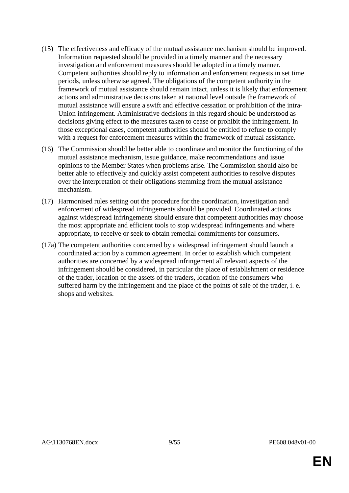- (15) The effectiveness and efficacy of the mutual assistance mechanism should be improved. Information requested should be provided in a timely manner and the necessary investigation and enforcement measures should be adopted in a timely manner. Competent authorities should reply to information and enforcement requests in set time periods, unless otherwise agreed. The obligations of the competent authority in the framework of mutual assistance should remain intact, unless it is likely that enforcement actions and administrative decisions taken at national level outside the framework of mutual assistance will ensure a swift and effective cessation or prohibition of the intra-Union infringement. Administrative decisions in this regard should be understood as decisions giving effect to the measures taken to cease or prohibit the infringement. In those exceptional cases, competent authorities should be entitled to refuse to comply with a request for enforcement measures within the framework of mutual assistance.
- (16) The Commission should be better able to coordinate and monitor the functioning of the mutual assistance mechanism, issue guidance, make recommendations and issue opinions to the Member States when problems arise. The Commission should also be better able to effectively and quickly assist competent authorities to resolve disputes over the interpretation of their obligations stemming from the mutual assistance mechanism.
- (17) Harmonised rules setting out the procedure for the coordination, investigation and enforcement of widespread infringements should be provided. Coordinated actions against widespread infringements should ensure that competent authorities may choose the most appropriate and efficient tools to stop widespread infringements and where appropriate, to receive or seek to obtain remedial commitments for consumers.
- (17a) The competent authorities concerned by a widespread infringement should launch a coordinated action by a common agreement. In order to establish which competent authorities are concerned by a widespread infringement all relevant aspects of the infringement should be considered, in particular the place of establishment or residence of the trader, location of the assets of the traders, location of the consumers who suffered harm by the infringement and the place of the points of sale of the trader, i. e. shops and websites.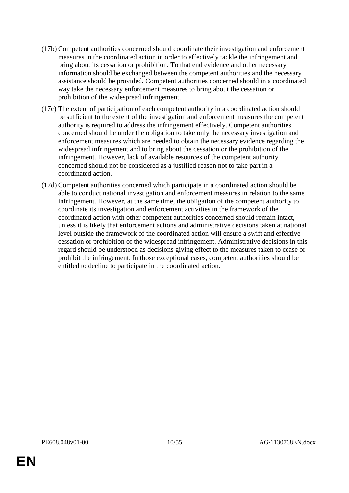- (17b) Competent authorities concerned should coordinate their investigation and enforcement measures in the coordinated action in order to effectively tackle the infringement and bring about its cessation or prohibition. To that end evidence and other necessary information should be exchanged between the competent authorities and the necessary assistance should be provided. Competent authorities concerned should in a coordinated way take the necessary enforcement measures to bring about the cessation or prohibition of the widespread infringement.
- (17c) The extent of participation of each competent authority in a coordinated action should be sufficient to the extent of the investigation and enforcement measures the competent authority is required to address the infringement effectively. Competent authorities concerned should be under the obligation to take only the necessary investigation and enforcement measures which are needed to obtain the necessary evidence regarding the widespread infringement and to bring about the cessation or the prohibition of the infringement. However, lack of available resources of the competent authority concerned should not be considered as a justified reason not to take part in a coordinated action.
- (17d) Competent authorities concerned which participate in a coordinated action should be able to conduct national investigation and enforcement measures in relation to the same infringement. However, at the same time, the obligation of the competent authority to coordinate its investigation and enforcement activities in the framework of the coordinated action with other competent authorities concerned should remain intact, unless it is likely that enforcement actions and administrative decisions taken at national level outside the framework of the coordinated action will ensure a swift and effective cessation or prohibition of the widespread infringement. Administrative decisions in this regard should be understood as decisions giving effect to the measures taken to cease or prohibit the infringement. In those exceptional cases, competent authorities should be entitled to decline to participate in the coordinated action.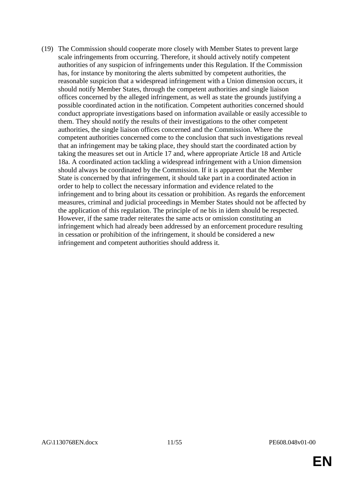(19) The Commission should cooperate more closely with Member States to prevent large scale infringements from occurring. Therefore, it should actively notify competent authorities of any suspicion of infringements under this Regulation. If the Commission has, for instance by monitoring the alerts submitted by competent authorities, the reasonable suspicion that a widespread infringement with a Union dimension occurs, it should notify Member States, through the competent authorities and single liaison offices concerned by the alleged infringement, as well as state the grounds justifying a possible coordinated action in the notification. Competent authorities concerned should conduct appropriate investigations based on information available or easily accessible to them. They should notify the results of their investigations to the other competent authorities, the single liaison offices concerned and the Commission. Where the competent authorities concerned come to the conclusion that such investigations reveal that an infringement may be taking place, they should start the coordinated action by taking the measures set out in Article 17 and, where appropriate Article 18 and Article 18a. A coordinated action tackling a widespread infringement with a Union dimension should always be coordinated by the Commission. If it is apparent that the Member State is concerned by that infringement, it should take part in a coordinated action in order to help to collect the necessary information and evidence related to the infringement and to bring about its cessation or prohibition. As regards the enforcement measures, criminal and judicial proceedings in Member States should not be affected by the application of this regulation. The principle of ne bis in idem should be respected. However, if the same trader reiterates the same acts or omission constituting an infringement which had already been addressed by an enforcement procedure resulting in cessation or prohibition of the infringement, it should be considered a new infringement and competent authorities should address it.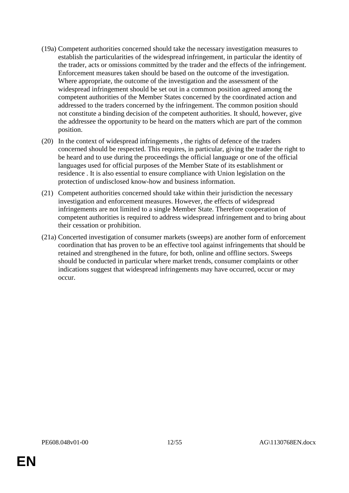- (19a) Competent authorities concerned should take the necessary investigation measures to establish the particularities of the widespread infringement, in particular the identity of the trader, acts or omissions committed by the trader and the effects of the infringement. Enforcement measures taken should be based on the outcome of the investigation. Where appropriate, the outcome of the investigation and the assessment of the widespread infringement should be set out in a common position agreed among the competent authorities of the Member States concerned by the coordinated action and addressed to the traders concerned by the infringement. The common position should not constitute a binding decision of the competent authorities. It should, however, give the addressee the opportunity to be heard on the matters which are part of the common position.
- (20) In the context of widespread infringements , the rights of defence of the traders concerned should be respected. This requires, in particular, giving the trader the right to be heard and to use during the proceedings the official language or one of the official languages used for official purposes of the Member State of its establishment or residence . It is also essential to ensure compliance with Union legislation on the protection of undisclosed know-how and business information.
- (21) Competent authorities concerned should take within their jurisdiction the necessary investigation and enforcement measures. However, the effects of widespread infringements are not limited to a single Member State. Therefore cooperation of competent authorities is required to address widespread infringement and to bring about their cessation or prohibition.
- (21a) Concerted investigation of consumer markets (sweeps) are another form of enforcement coordination that has proven to be an effective tool against infringements that should be retained and strengthened in the future, for both, online and offline sectors. Sweeps should be conducted in particular where market trends, consumer complaints or other indications suggest that widespread infringements may have occurred, occur or may occur.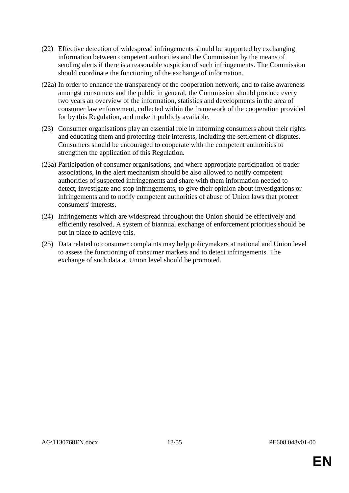- (22) Effective detection of widespread infringements should be supported by exchanging information between competent authorities and the Commission by the means of sending alerts if there is a reasonable suspicion of such infringements. The Commission should coordinate the functioning of the exchange of information.
- (22a) In order to enhance the transparency of the cooperation network, and to raise awareness amongst consumers and the public in general, the Commission should produce every two years an overview of the information, statistics and developments in the area of consumer law enforcement, collected within the framework of the cooperation provided for by this Regulation, and make it publicly available.
- (23) Consumer organisations play an essential role in informing consumers about their rights and educating them and protecting their interests, including the settlement of disputes. Consumers should be encouraged to cooperate with the competent authorities to strengthen the application of this Regulation.
- (23a) Participation of consumer organisations, and where appropriate participation of trader associations, in the alert mechanism should be also allowed to notify competent authorities of suspected infringements and share with them information needed to detect, investigate and stop infringements, to give their opinion about investigations or infringements and to notify competent authorities of abuse of Union laws that protect consumers' interests.
- (24) Infringements which are widespread throughout the Union should be effectively and efficiently resolved. A system of biannual exchange of enforcement priorities should be put in place to achieve this.
- (25) Data related to consumer complaints may help policymakers at national and Union level to assess the functioning of consumer markets and to detect infringements. The exchange of such data at Union level should be promoted.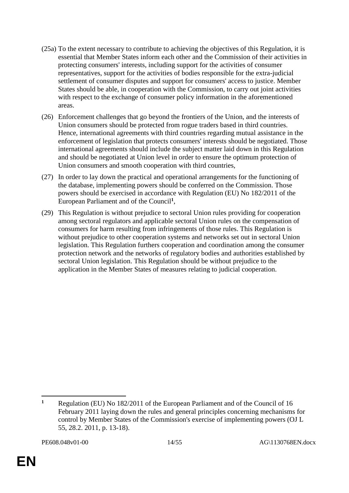- (25a) To the extent necessary to contribute to achieving the objectives of this Regulation, it is essential that Member States inform each other and the Commission of their activities in protecting consumers' interests, including support for the activities of consumer representatives, support for the activities of bodies responsible for the extra-judicial settlement of consumer disputes and support for consumers' access to justice. Member States should be able, in cooperation with the Commission, to carry out joint activities with respect to the exchange of consumer policy information in the aforementioned areas.
- (26) Enforcement challenges that go beyond the frontiers of the Union, and the interests of Union consumers should be protected from rogue traders based in third countries. Hence, international agreements with third countries regarding mutual assistance in the enforcement of legislation that protects consumers' interests should be negotiated. Those international agreements should include the subject matter laid down in this Regulation and should be negotiated at Union level in order to ensure the optimum protection of Union consumers and smooth cooperation with third countries,
- (27) In order to lay down the practical and operational arrangements for the functioning of the database, implementing powers should be conferred on the Commission. Those powers should be exercised in accordance with Regulation (EU) No 182/2011 of the European Parliament and of the Council**<sup>1</sup>** ,
- (29) This Regulation is without prejudice to sectoral Union rules providing for cooperation among sectoral regulators and applicable sectoral Union rules on the compensation of consumers for harm resulting from infringements of those rules. This Regulation is without prejudice to other cooperation systems and networks set out in sectoral Union legislation. This Regulation furthers cooperation and coordination among the consumer protection network and the networks of regulatory bodies and authorities established by sectoral Union legislation. This Regulation should be without prejudice to the application in the Member States of measures relating to judicial cooperation.

 $\overline{a}$ **<sup>1</sup>** Regulation (EU) No 182/2011 of the European Parliament and of the Council of 16 February 2011 laying down the rules and general principles concerning mechanisms for control by Member States of the Commission's exercise of implementing powers (OJ L 55, 28.2. 2011, p. 13-18).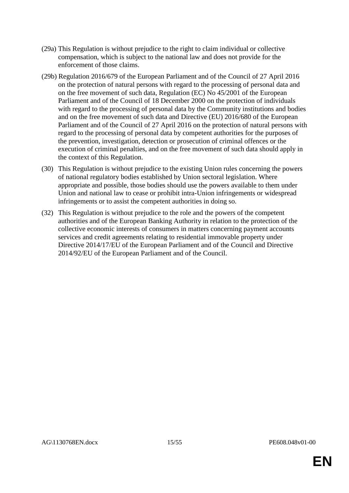- (29a) This Regulation is without prejudice to the right to claim individual or collective compensation, which is subject to the national law and does not provide for the enforcement of those claims.
- (29b) Regulation 2016/679 of the European Parliament and of the Council of 27 April 2016 on the protection of natural persons with regard to the processing of personal data and on the free movement of such data, Regulation (EC) No 45/2001 of the European Parliament and of the Council of 18 December 2000 on the protection of individuals with regard to the processing of personal data by the Community institutions and bodies and on the free movement of such data and Directive (EU) 2016/680 of the European Parliament and of the Council of 27 April 2016 on the protection of natural persons with regard to the processing of personal data by competent authorities for the purposes of the prevention, investigation, detection or prosecution of criminal offences or the execution of criminal penalties, and on the free movement of such data should apply in the context of this Regulation.
- (30) This Regulation is without prejudice to the existing Union rules concerning the powers of national regulatory bodies established by Union sectoral legislation. Where appropriate and possible, those bodies should use the powers available to them under Union and national law to cease or prohibit intra-Union infringements or widespread infringements or to assist the competent authorities in doing so.
- (32) This Regulation is without prejudice to the role and the powers of the competent authorities and of the European Banking Authority in relation to the protection of the collective economic interests of consumers in matters concerning payment accounts services and credit agreements relating to residential immovable property under Directive 2014/17/EU of the European Parliament and of the Council and Directive 2014/92/EU of the European Parliament and of the Council.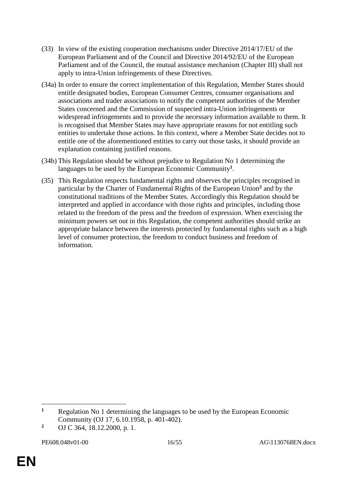- (33) In view of the existing cooperation mechanisms under Directive 2014/17/EU of the European Parliament and of the Council and Directive 2014/92/EU of the European Parliament and of the Council, the mutual assistance mechanism (Chapter III) shall not apply to intra-Union infringements of these Directives.
- (34a) In order to ensure the correct implementation of this Regulation, Member States should entitle designated bodies, European Consumer Centres, consumer organisations and associations and trader associations to notify the competent authorities of the Member States concerned and the Commission of suspected intra-Union infringements or widespread infringements and to provide the necessary information available to them. It is recognised that Member States may have appropriate reasons for not entitling such entities to undertake those actions. In this context, where a Member State decides not to entitle one of the aforementioned entities to carry out those tasks, it should provide an explanation containing justified reasons.
- (34b) This Regulation should be without prejudice to Regulation No 1 determining the languages to be used by the European Economic Community**<sup>1</sup>** .
- (35) This Regulation respects fundamental rights and observes the principles recognised in particular by the Charter of Fundamental Rights of the European Union**<sup>2</sup>** and by the constitutional traditions of the Member States. Accordingly this Regulation should be interpreted and applied in accordance with those rights and principles, including those related to the freedom of the press and the freedom of expression. When exercising the minimum powers set out in this Regulation, the competent authorities should strike an appropriate balance between the interests protected by fundamental rights such as a high level of consumer protection, the freedom to conduct business and freedom of information.

 $\overline{a}$ 

**<sup>1</sup>** Regulation No 1 determining the languages to be used by the European Economic Community (OJ 17, 6.10.1958, p. 401-402).

**<sup>2</sup>** OJ C 364, 18.12.2000, p. 1.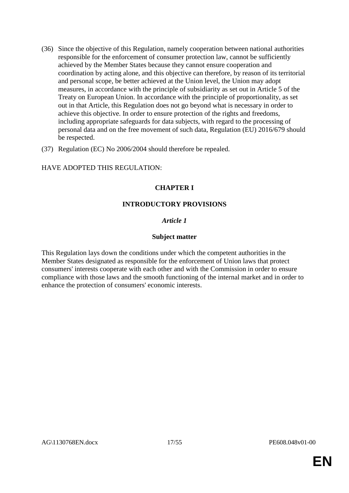- (36) Since the objective of this Regulation, namely cooperation between national authorities responsible for the enforcement of consumer protection law, cannot be sufficiently achieved by the Member States because they cannot ensure cooperation and coordination by acting alone, and this objective can therefore, by reason of its territorial and personal scope, be better achieved at the Union level, the Union may adopt measures, in accordance with the principle of subsidiarity as set out in Article 5 of the Treaty on European Union. In accordance with the principle of proportionality, as set out in that Article, this Regulation does not go beyond what is necessary in order to achieve this objective. In order to ensure protection of the rights and freedoms, including appropriate safeguards for data subjects, with regard to the processing of personal data and on the free movement of such data, Regulation (EU) 2016/679 should be respected.
- (37) Regulation (EC) No 2006/2004 should therefore be repealed.

## HAVE ADOPTED THIS REGULATION:

# **CHAPTER I**

## **INTRODUCTORY PROVISIONS**

## *Article 1*

#### **Subject matter**

This Regulation lays down the conditions under which the competent authorities in the Member States designated as responsible for the enforcement of Union laws that protect consumers' interests cooperate with each other and with the Commission in order to ensure compliance with those laws and the smooth functioning of the internal market and in order to enhance the protection of consumers' economic interests.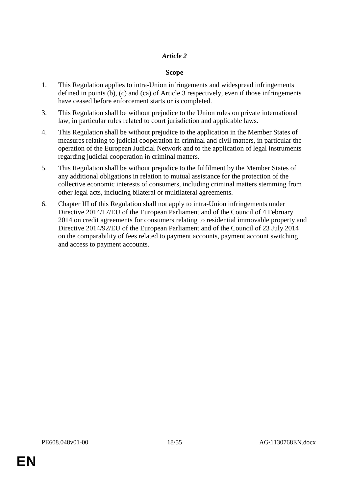## **Scope**

- 1. This Regulation applies to intra-Union infringements and widespread infringements defined in points (b), (c) and (ca) of Article 3 respectively, even if those infringements have ceased before enforcement starts or is completed.
- 3. This Regulation shall be without prejudice to the Union rules on private international law, in particular rules related to court jurisdiction and applicable laws.
- 4. This Regulation shall be without prejudice to the application in the Member States of measures relating to judicial cooperation in criminal and civil matters, in particular the operation of the European Judicial Network and to the application of legal instruments regarding judicial cooperation in criminal matters.
- 5. This Regulation shall be without prejudice to the fulfilment by the Member States of any additional obligations in relation to mutual assistance for the protection of the collective economic interests of consumers, including criminal matters stemming from other legal acts, including bilateral or multilateral agreements.
- 6. Chapter III of this Regulation shall not apply to intra-Union infringements under Directive 2014/17/EU of the European Parliament and of the Council of 4 February 2014 on credit agreements for consumers relating to residential immovable property and Directive 2014/92/EU of the European Parliament and of the Council of 23 July 2014 on the comparability of fees related to payment accounts, payment account switching and access to payment accounts.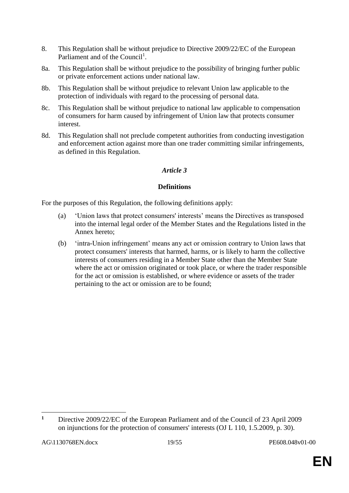- 8. This Regulation shall be without prejudice to Directive 2009/22/EC of the European Parliament and of the Council<sup>1</sup>.
- 8a. This Regulation shall be without prejudice to the possibility of bringing further public or private enforcement actions under national law.
- 8b. This Regulation shall be without prejudice to relevant Union law applicable to the protection of individuals with regard to the processing of personal data.
- 8c. This Regulation shall be without prejudice to national law applicable to compensation of consumers for harm caused by infringement of Union law that protects consumer interest.
- 8d. This Regulation shall not preclude competent authorities from conducting investigation and enforcement action against more than one trader committing similar infringements, as defined in this Regulation.

# **Definitions**

For the purposes of this Regulation, the following definitions apply:

- (a) 'Union laws that protect consumers' interests' means the Directives as transposed into the internal legal order of the Member States and the Regulations listed in the Annex hereto;
- (b) 'intra-Union infringement' means any act or omission contrary to Union laws that protect consumers' interests that harmed, harms, or is likely to harm the collective interests of consumers residing in a Member State other than the Member State where the act or omission originated or took place, or where the trader responsible for the act or omission is established, or where evidence or assets of the trader pertaining to the act or omission are to be found;

 $\overline{a}$ **<sup>1</sup>** Directive 2009/22/EC of the European Parliament and of the Council of 23 April 2009 on injunctions for the protection of consumers' interests (OJ L 110, 1.5.2009, p. 30).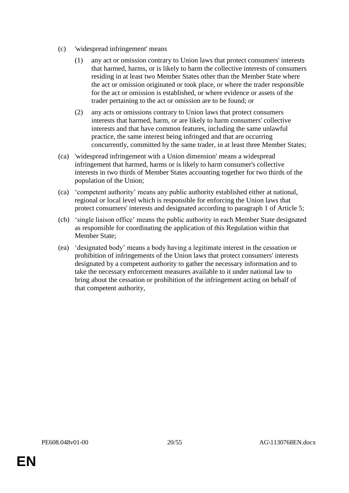- (c) 'widespread infringement' means
	- (1) any act or omission contrary to Union laws that protect consumers' interests that harmed, harms, or is likely to harm the collective interests of consumers residing in at least two Member States other than the Member State where the act or omission originated or took place, or where the trader responsible for the act or omission is established, or where evidence or assets of the trader pertaining to the act or omission are to be found; or
	- (2) any acts or omissions contrary to Union laws that protect consumers interests that harmed, harm, or are likely to harm consumers' collective interests and that have common features, including the same unlawful practice, the same interest being infringed and that are occurring concurrently, committed by the same trader, in at least three Member States;
- (ca) 'widespread infringement with a Union dimension' means a widespread infringement that harmed, harms or is likely to harm consumer's collective interests in two thirds of Member States accounting together for two thirds of the population of the Union;
- (ca) 'competent authority' means any public authority established either at national, regional or local level which is responsible for enforcing the Union laws that protect consumers' interests and designated according to paragraph 1 of Article 5;
- (cb) 'single liaison office' means the public authority in each Member State designated as responsible for coordinating the application of this Regulation within that Member State;
- (ea) 'designated body' means a body having a legitimate interest in the cessation or prohibition of infringements of the Union laws that protect consumers' interests designated by a competent authority to gather the necessary information and to take the necessary enforcement measures available to it under national law to bring about the cessation or prohibition of the infringement acting on behalf of that competent authority,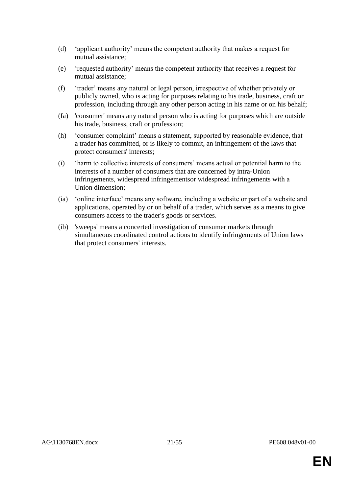- (d) 'applicant authority' means the competent authority that makes a request for mutual assistance;
- (e) 'requested authority' means the competent authority that receives a request for mutual assistance;
- (f) 'trader' means any natural or legal person, irrespective of whether privately or publicly owned, who is acting for purposes relating to his trade, business, craft or profession, including through any other person acting in his name or on his behalf;
- (fa) 'consumer' means any natural person who is acting for purposes which are outside his trade, business, craft or profession;
- (h) 'consumer complaint' means a statement, supported by reasonable evidence, that a trader has committed, or is likely to commit, an infringement of the laws that protect consumers' interests;
- (i) 'harm to collective interests of consumers' means actual or potential harm to the interests of a number of consumers that are concerned by intra-Union infringements, widespread infringementsor widespread infringements with a Union dimension;
- (ia) 'online interface' means any software, including a website or part of a website and applications, operated by or on behalf of a trader, which serves as a means to give consumers access to the trader's goods or services.
- (ib) 'sweeps' means a concerted investigation of consumer markets through simultaneous coordinated control actions to identify infringements of Union laws that protect consumers' interests.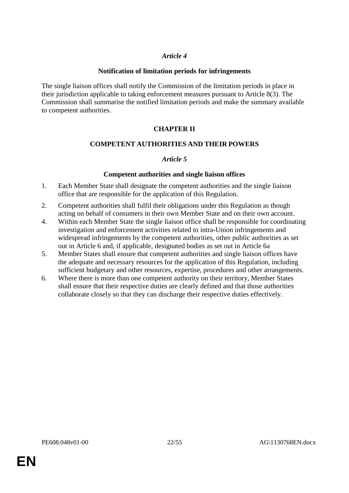#### **Notification of limitation periods for infringements**

The single liaison offices shall notify the Commission of the limitation periods in place in their jurisdiction applicable to taking enforcement measures pursuant to Article 8(3). The Commission shall summarise the notified limitation periods and make the summary available to competent authorities.

# **CHAPTER II**

## **COMPETENT AUTHORITIES AND THEIR POWERS**

## *Article 5*

#### **Competent authorities and single liaison offices**

- 1. Each Member State shall designate the competent authorities and the single liaison office that are responsible for the application of this Regulation.
- 2. Competent authorities shall fulfil their obligations under this Regulation as though acting on behalf of consumers in their own Member State and on their own account.
- 4. Within each Member State the single liaison office shall be responsible for coordinating investigation and enforcement activities related to intra-Union infringements and widespread infringements by the competent authorities, other public authorities as set out in Article 6 and, if applicable, designated bodies as set out in Article 6a
- 5. Member States shall ensure that competent authorities and single liaison offices have the adequate and necessary resources for the application of this Regulation, including sufficient budgetary and other resources, expertise, procedures and other arrangements.
- 6. Where there is more than one competent authority on their territory, Member States shall ensure that their respective duties are clearly defined and that those authorities collaborate closely so that they can discharge their respective duties effectively.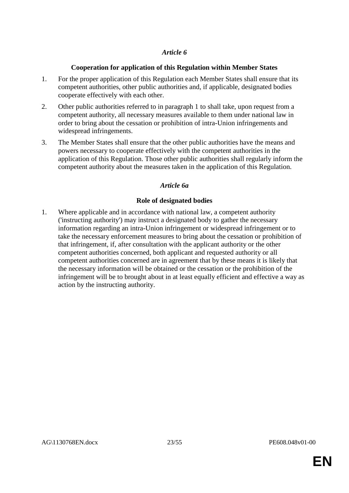## **Cooperation for application of this Regulation within Member States**

- 1. For the proper application of this Regulation each Member States shall ensure that its competent authorities, other public authorities and, if applicable, designated bodies cooperate effectively with each other.
- 2. Other public authorities referred to in paragraph 1 to shall take, upon request from a competent authority, all necessary measures available to them under national law in order to bring about the cessation or prohibition of intra-Union infringements and widespread infringements.
- 3. The Member States shall ensure that the other public authorities have the means and powers necessary to cooperate effectively with the competent authorities in the application of this Regulation. Those other public authorities shall regularly inform the competent authority about the measures taken in the application of this Regulation.

## *Article 6a*

## **Role of designated bodies**

1. Where applicable and in accordance with national law, a competent authority ('instructing authority') may instruct a designated body to gather the necessary information regarding an intra-Union infringement or widespread infringement or to take the necessary enforcement measures to bring about the cessation or prohibition of that infringement, if, after consultation with the applicant authority or the other competent authorities concerned, both applicant and requested authority or all competent authorities concerned are in agreement that by these means it is likely that the necessary information will be obtained or the cessation or the prohibition of the infringement will be to brought about in at least equally efficient and effective a way as action by the instructing authority.

**EN**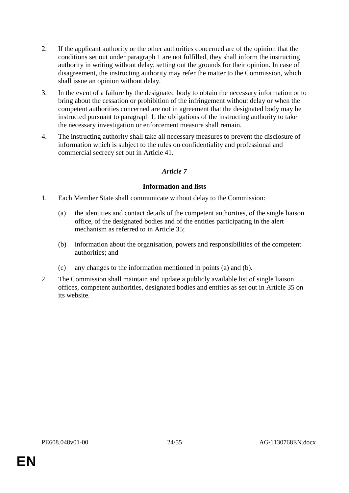- 2. If the applicant authority or the other authorities concerned are of the opinion that the conditions set out under paragraph 1 are not fulfilled, they shall inform the instructing authority in writing without delay, setting out the grounds for their opinion. In case of disagreement, the instructing authority may refer the matter to the Commission, which shall issue an opinion without delay.
- 3. In the event of a failure by the designated body to obtain the necessary information or to bring about the cessation or prohibition of the infringement without delay or when the competent authorities concerned are not in agreement that the designated body may be instructed pursuant to paragraph 1, the obligations of the instructing authority to take the necessary investigation or enforcement measure shall remain.
- 4. The instructing authority shall take all necessary measures to prevent the disclosure of information which is subject to the rules on confidentiality and professional and commercial secrecy set out in Article 41.

## **Information and lists**

- 1. Each Member State shall communicate without delay to the Commission:
	- (a) the identities and contact details of the competent authorities, of the single liaison office, of the designated bodies and of the entities participating in the alert mechanism as referred to in Article 35;
	- (b) information about the organisation, powers and responsibilities of the competent authorities; and
	- (c) any changes to the information mentioned in points (a) and (b).
- 2. The Commission shall maintain and update a publicly available list of single liaison offices, competent authorities, designated bodies and entities as set out in Article 35 on its website.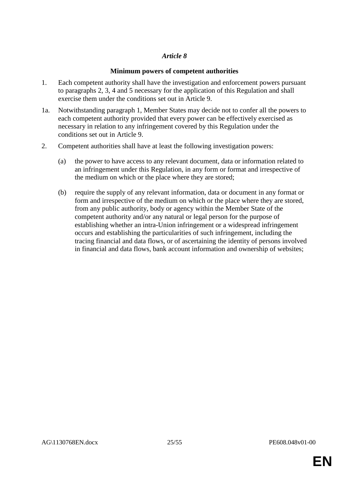## **Minimum powers of competent authorities**

- 1. Each competent authority shall have the investigation and enforcement powers pursuant to paragraphs 2, 3, 4 and 5 necessary for the application of this Regulation and shall exercise them under the conditions set out in Article 9.
- 1a. Notwithstanding paragraph 1, Member States may decide not to confer all the powers to each competent authority provided that every power can be effectively exercised as necessary in relation to any infringement covered by this Regulation under the conditions set out in Article 9.
- 2. Competent authorities shall have at least the following investigation powers:
	- (a) the power to have access to any relevant document, data or information related to an infringement under this Regulation, in any form or format and irrespective of the medium on which or the place where they are stored;
	- (b) require the supply of any relevant information, data or document in any format or form and irrespective of the medium on which or the place where they are stored, from any public authority, body or agency within the Member State of the competent authority and/or any natural or legal person for the purpose of establishing whether an intra-Union infringement or a widespread infringement occurs and establishing the particularities of such infringement, including the tracing financial and data flows, or of ascertaining the identity of persons involved in financial and data flows, bank account information and ownership of websites;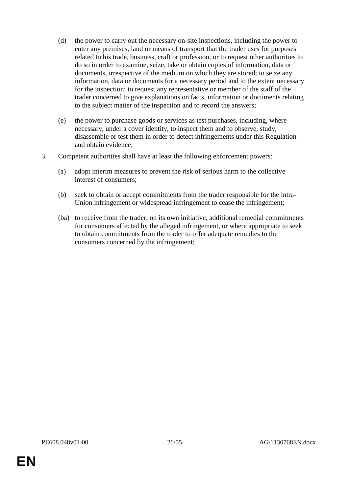- (d) the power to carry out the necessary on-site inspections, including the power to enter any premises, land or means of transport that the trader uses for purposes related to his trade, business, craft or profession, or to request other authorities to do so in order to examine, seize, take or obtain copies of information, data or documents, irrespective of the medium on which they are stored; to seize any information, data or documents for a necessary period and to the extent necessary for the inspection; to request any representative or member of the staff of the trader concerned to give explanations on facts, information or documents relating to the subject matter of the inspection and to record the answers;
- (e) the power to purchase goods or services as test purchases, including, where necessary, under a cover identity, to inspect them and to observe, study, disassemble or test them in order to detect infringements under this Regulation and obtain evidence;
- 3. Competent authorities shall have at least the following enforcement powers:
	- (a) adopt interim measures to prevent the risk of serious harm to the collective interest of consumers;
	- (b) seek to obtain or accept commitments from the trader responsible for the intra-Union infringement or widespread infringement to cease the infringement;
	- (ba) to receive from the trader, on its own initiative, additional remedial commitments for consumers affected by the alleged infringement, or where appropriate to seek to obtain commitments from the trader to offer adequate remedies to the consumers concerned by the infringement;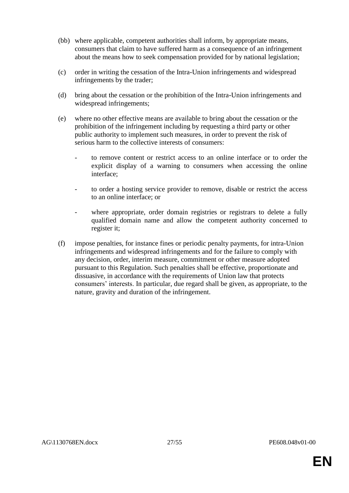- (bb) where applicable, competent authorities shall inform, by appropriate means, consumers that claim to have suffered harm as a consequence of an infringement about the means how to seek compensation provided for by national legislation;
- (c) order in writing the cessation of the Intra-Union infringements and widespread infringements by the trader;
- (d) bring about the cessation or the prohibition of the Intra-Union infringements and widespread infringements;
- (e) where no other effective means are available to bring about the cessation or the prohibition of the infringement including by requesting a third party or other public authority to implement such measures, in order to prevent the risk of serious harm to the collective interests of consumers:
	- to remove content or restrict access to an online interface or to order the explicit display of a warning to consumers when accessing the online interface;
	- to order a hosting service provider to remove, disable or restrict the access to an online interface; or
	- where appropriate, order domain registries or registrars to delete a fully qualified domain name and allow the competent authority concerned to register it;
- (f) impose penalties, for instance fines or periodic penalty payments, for intra-Union infringements and widespread infringements and for the failure to comply with any decision, order, interim measure, commitment or other measure adopted pursuant to this Regulation. Such penalties shall be effective, proportionate and dissuasive, in accordance with the requirements of Union law that protects consumers' interests. In particular, due regard shall be given, as appropriate, to the nature, gravity and duration of the infringement.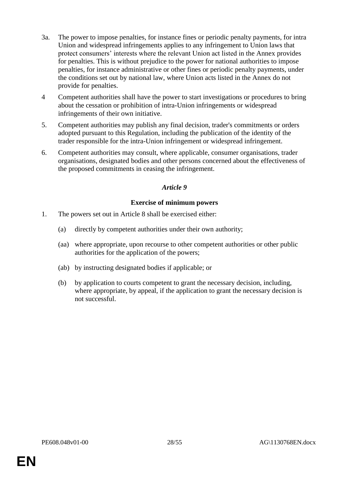- 3a. The power to impose penalties, for instance fines or periodic penalty payments, for intra Union and widespread infringements applies to any infringement to Union laws that protect consumers' interests where the relevant Union act listed in the Annex provides for penalties. This is without prejudice to the power for national authorities to impose penalties, for instance administrative or other fines or periodic penalty payments, under the conditions set out by national law, where Union acts listed in the Annex do not provide for penalties.
- 4 Competent authorities shall have the power to start investigations or procedures to bring about the cessation or prohibition of intra-Union infringements or widespread infringements of their own initiative.
- 5. Competent authorities may publish any final decision, trader's commitments or orders adopted pursuant to this Regulation, including the publication of the identity of the trader responsible for the intra-Union infringement or widespread infringement.
- 6. Competent authorities may consult, where applicable, consumer organisations, trader organisations, designated bodies and other persons concerned about the effectiveness of the proposed commitments in ceasing the infringement.

## **Exercise of minimum powers**

- 1. The powers set out in Article 8 shall be exercised either:
	- (a) directly by competent authorities under their own authority;
	- (aa) where appropriate, upon recourse to other competent authorities or other public authorities for the application of the powers;
	- (ab) by instructing designated bodies if applicable; or
	- (b) by application to courts competent to grant the necessary decision, including, where appropriate, by appeal, if the application to grant the necessary decision is not successful.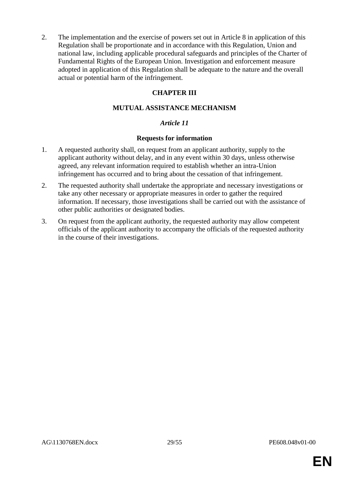2. The implementation and the exercise of powers set out in Article 8 in application of this Regulation shall be proportionate and in accordance with this Regulation, Union and national law, including applicable procedural safeguards and principles of the Charter of Fundamental Rights of the European Union. Investigation and enforcement measure adopted in application of this Regulation shall be adequate to the nature and the overall actual or potential harm of the infringement.

# **CHAPTER III**

# **MUTUAL ASSISTANCE MECHANISM**

## *Article 11*

## **Requests for information**

- 1. A requested authority shall, on request from an applicant authority, supply to the applicant authority without delay, and in any event within 30 days, unless otherwise agreed, any relevant information required to establish whether an intra-Union infringement has occurred and to bring about the cessation of that infringement.
- 2. The requested authority shall undertake the appropriate and necessary investigations or take any other necessary or appropriate measures in order to gather the required information. If necessary, those investigations shall be carried out with the assistance of other public authorities or designated bodies.
- 3. On request from the applicant authority, the requested authority may allow competent officials of the applicant authority to accompany the officials of the requested authority in the course of their investigations.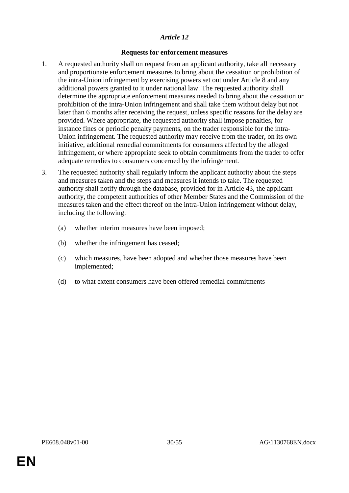#### **Requests for enforcement measures**

- 1. A requested authority shall on request from an applicant authority, take all necessary and proportionate enforcement measures to bring about the cessation or prohibition of the intra-Union infringement by exercising powers set out under Article 8 and any additional powers granted to it under national law. The requested authority shall determine the appropriate enforcement measures needed to bring about the cessation or prohibition of the intra-Union infringement and shall take them without delay but not later than 6 months after receiving the request, unless specific reasons for the delay are provided. Where appropriate, the requested authority shall impose penalties, for instance fines or periodic penalty payments, on the trader responsible for the intra-Union infringement. The requested authority may receive from the trader, on its own initiative, additional remedial commitments for consumers affected by the alleged infringement, or where appropriate seek to obtain commitments from the trader to offer adequate remedies to consumers concerned by the infringement.
- 3. The requested authority shall regularly inform the applicant authority about the steps and measures taken and the steps and measures it intends to take. The requested authority shall notify through the database, provided for in Article 43, the applicant authority, the competent authorities of other Member States and the Commission of the measures taken and the effect thereof on the intra-Union infringement without delay, including the following:
	- (a) whether interim measures have been imposed;
	- (b) whether the infringement has ceased;
	- (c) which measures, have been adopted and whether those measures have been implemented;
	- (d) to what extent consumers have been offered remedial commitments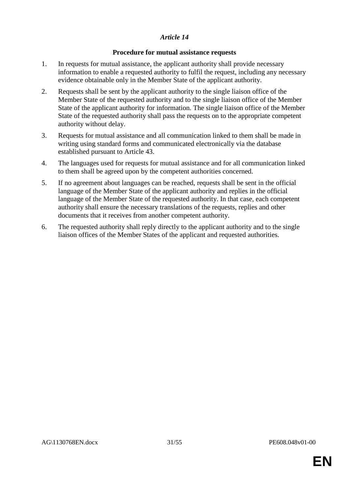## **Procedure for mutual assistance requests**

- 1. In requests for mutual assistance, the applicant authority shall provide necessary information to enable a requested authority to fulfil the request, including any necessary evidence obtainable only in the Member State of the applicant authority.
- 2. Requests shall be sent by the applicant authority to the single liaison office of the Member State of the requested authority and to the single liaison office of the Member State of the applicant authority for information. The single liaison office of the Member State of the requested authority shall pass the requests on to the appropriate competent authority without delay.
- 3. Requests for mutual assistance and all communication linked to them shall be made in writing using standard forms and communicated electronically via the database established pursuant to Article 43.
- 4. The languages used for requests for mutual assistance and for all communication linked to them shall be agreed upon by the competent authorities concerned.
- 5. If no agreement about languages can be reached, requests shall be sent in the official language of the Member State of the applicant authority and replies in the official language of the Member State of the requested authority. In that case, each competent authority shall ensure the necessary translations of the requests, replies and other documents that it receives from another competent authority.
- 6. The requested authority shall reply directly to the applicant authority and to the single liaison offices of the Member States of the applicant and requested authorities.

**EN**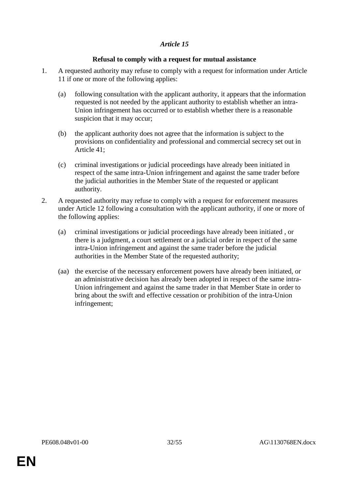## **Refusal to comply with a request for mutual assistance**

- 1. A requested authority may refuse to comply with a request for information under Article 11 if one or more of the following applies:
	- (a) following consultation with the applicant authority, it appears that the information requested is not needed by the applicant authority to establish whether an intra-Union infringement has occurred or to establish whether there is a reasonable suspicion that it may occur;
	- (b) the applicant authority does not agree that the information is subject to the provisions on confidentiality and professional and commercial secrecy set out in Article 41;
	- (c) criminal investigations or judicial proceedings have already been initiated in respect of the same intra-Union infringement and against the same trader before the judicial authorities in the Member State of the requested or applicant authority.
- 2. A requested authority may refuse to comply with a request for enforcement measures under Article 12 following a consultation with the applicant authority, if one or more of the following applies:
	- (a) criminal investigations or judicial proceedings have already been initiated , or there is a judgment, a court settlement or a judicial order in respect of the same intra-Union infringement and against the same trader before the judicial authorities in the Member State of the requested authority;
	- (aa) the exercise of the necessary enforcement powers have already been initiated, or an administrative decision has already been adopted in respect of the same intra-Union infringement and against the same trader in that Member State in order to bring about the swift and effective cessation or prohibition of the intra-Union infringement;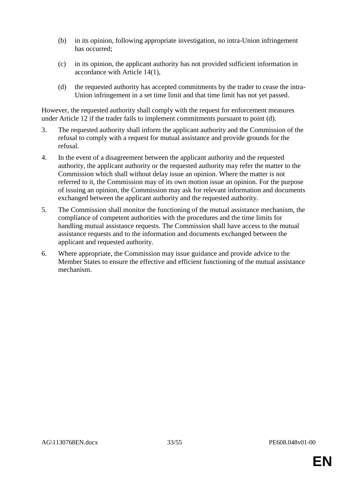- (b) in its opinion, following appropriate investigation, no intra-Union infringement has occurred;
- (c) in its opinion, the applicant authority has not provided sufficient information in accordance with Article 14(1),
- (d) the requested authority has accepted commitments by the trader to cease the intra-Union infringement in a set time limit and that time limit has not yet passed.

However, the requested authority shall comply with the request for enforcement measures under Article 12 if the trader fails to implement commitments pursuant to point (d).

- 3. The requested authority shall inform the applicant authority and the Commission of the refusal to comply with a request for mutual assistance and provide grounds for the refusal.
- 4. In the event of a disagreement between the applicant authority and the requested authority, the applicant authority or the requested authority may refer the matter to the Commission which shall without delay issue an opinion. Where the matter is not referred to it, the Commission may of its own motion issue an opinion. For the purpose of issuing an opinion, the Commission may ask for relevant information and documents exchanged between the applicant authority and the requested authority.
- 5. The Commission shall monitor the functioning of the mutual assistance mechanism, the compliance of competent authorities with the procedures and the time limits for handling mutual assistance requests. The Commission shall have access to the mutual assistance requests and to the information and documents exchanged between the applicant and requested authority.
- 6. Where appropriate, the Commission may issue guidance and provide advice to the Member States to ensure the effective and efficient functioning of the mutual assistance mechanism.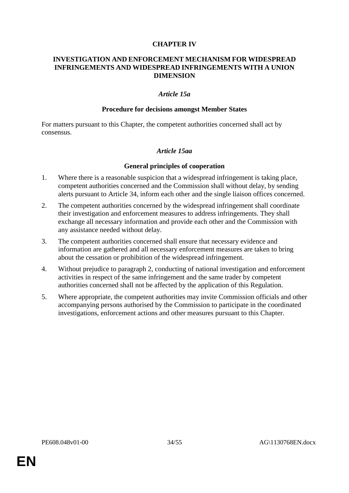#### **CHAPTER IV**

#### **INVESTIGATION AND ENFORCEMENT MECHANISM FOR WIDESPREAD INFRINGEMENTS AND WIDESPREAD INFRINGEMENTS WITH A UNION DIMENSION**

#### *Article 15a*

#### **Procedure for decisions amongst Member States**

For matters pursuant to this Chapter, the competent authorities concerned shall act by consensus.

#### *Article 15aa*

#### **General principles of cooperation**

- 1. Where there is a reasonable suspicion that a widespread infringement is taking place, competent authorities concerned and the Commission shall without delay, by sending alerts pursuant to Article 34, inform each other and the single liaison offices concerned.
- 2. The competent authorities concerned by the widespread infringement shall coordinate their investigation and enforcement measures to address infringements. They shall exchange all necessary information and provide each other and the Commission with any assistance needed without delay.
- 3. The competent authorities concerned shall ensure that necessary evidence and information are gathered and all necessary enforcement measures are taken to bring about the cessation or prohibition of the widespread infringement.
- 4. Without prejudice to paragraph 2, conducting of national investigation and enforcement activities in respect of the same infringement and the same trader by competent authorities concerned shall not be affected by the application of this Regulation.
- 5. Where appropriate, the competent authorities may invite Commission officials and other accompanying persons authorised by the Commission to participate in the coordinated investigations, enforcement actions and other measures pursuant to this Chapter.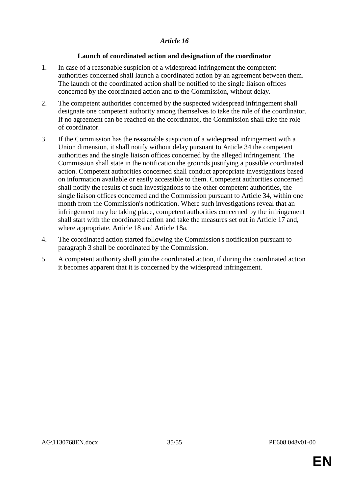## **Launch of coordinated action and designation of the coordinator**

- 1. In case of a reasonable suspicion of a widespread infringement the competent authorities concerned shall launch a coordinated action by an agreement between them. The launch of the coordinated action shall be notified to the single liaison offices concerned by the coordinated action and to the Commission, without delay.
- 2. The competent authorities concerned by the suspected widespread infringement shall designate one competent authority among themselves to take the role of the coordinator. If no agreement can be reached on the coordinator, the Commission shall take the role of coordinator.
- 3. If the Commission has the reasonable suspicion of a widespread infringement with a Union dimension, it shall notify without delay pursuant to Article 34 the competent authorities and the single liaison offices concerned by the alleged infringement. The Commission shall state in the notification the grounds justifying a possible coordinated action. Competent authorities concerned shall conduct appropriate investigations based on information available or easily accessible to them. Competent authorities concerned shall notify the results of such investigations to the other competent authorities, the single liaison offices concerned and the Commission pursuant to Article 34, within one month from the Commission's notification. Where such investigations reveal that an infringement may be taking place, competent authorities concerned by the infringement shall start with the coordinated action and take the measures set out in Article 17 and, where appropriate, Article 18 and Article 18a.
- 4. The coordinated action started following the Commission's notification pursuant to paragraph 3 shall be coordinated by the Commission.
- 5. A competent authority shall join the coordinated action, if during the coordinated action it becomes apparent that it is concerned by the widespread infringement.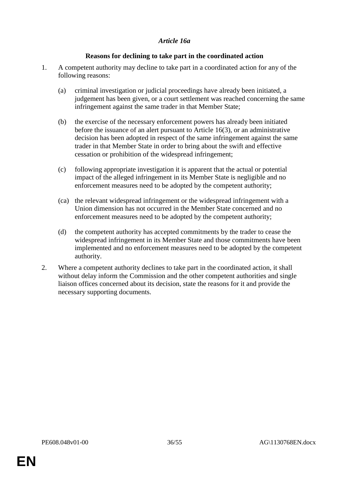#### *Article 16a*

## **Reasons for declining to take part in the coordinated action**

- 1. A competent authority may decline to take part in a coordinated action for any of the following reasons:
	- (a) criminal investigation or judicial proceedings have already been initiated, a judgement has been given, or a court settlement was reached concerning the same infringement against the same trader in that Member State;
	- (b) the exercise of the necessary enforcement powers has already been initiated before the issuance of an alert pursuant to Article 16(3), or an administrative decision has been adopted in respect of the same infringement against the same trader in that Member State in order to bring about the swift and effective cessation or prohibition of the widespread infringement;
	- (c) following appropriate investigation it is apparent that the actual or potential impact of the alleged infringement in its Member State is negligible and no enforcement measures need to be adopted by the competent authority;
	- (ca) the relevant widespread infringement or the widespread infringement with a Union dimension has not occurred in the Member State concerned and no enforcement measures need to be adopted by the competent authority;
	- (d) the competent authority has accepted commitments by the trader to cease the widespread infringement in its Member State and those commitments have been implemented and no enforcement measures need to be adopted by the competent authority.
- 2. Where a competent authority declines to take part in the coordinated action, it shall without delay inform the Commission and the other competent authorities and single liaison offices concerned about its decision, state the reasons for it and provide the necessary supporting documents.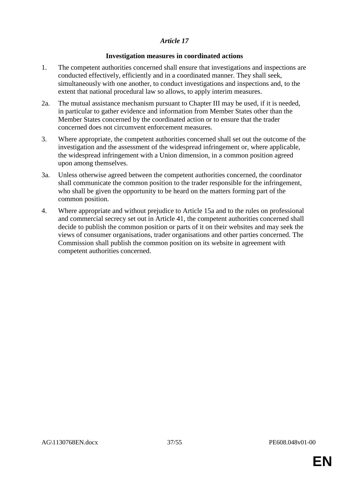## **Investigation measures in coordinated actions**

- 1. The competent authorities concerned shall ensure that investigations and inspections are conducted effectively, efficiently and in a coordinated manner. They shall seek, simultaneously with one another, to conduct investigations and inspections and, to the extent that national procedural law so allows, to apply interim measures.
- 2a. The mutual assistance mechanism pursuant to Chapter III may be used, if it is needed, in particular to gather evidence and information from Member States other than the Member States concerned by the coordinated action or to ensure that the trader concerned does not circumvent enforcement measures.
- 3. Where appropriate, the competent authorities concerned shall set out the outcome of the investigation and the assessment of the widespread infringement or, where applicable, the widespread infringement with a Union dimension, in a common position agreed upon among themselves.
- 3a. Unless otherwise agreed between the competent authorities concerned, the coordinator shall communicate the common position to the trader responsible for the infringement, who shall be given the opportunity to be heard on the matters forming part of the common position.
- 4. Where appropriate and without prejudice to Article 15a and to the rules on professional and commercial secrecy set out in Article 41, the competent authorities concerned shall decide to publish the common position or parts of it on their websites and may seek the views of consumer organisations, trader organisations and other parties concerned. The Commission shall publish the common position on its website in agreement with competent authorities concerned.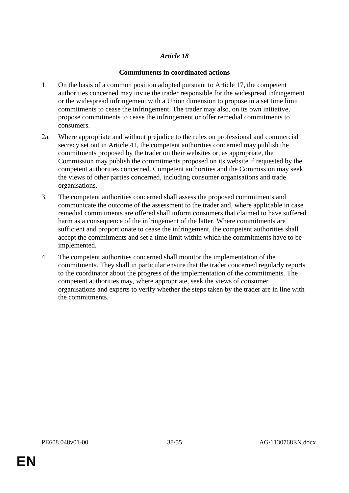# **Commitments in coordinated actions**

- 1. On the basis of a common position adopted pursuant to Article 17, the competent authorities concerned may invite the trader responsible for the widespread infringement or the widespread infringement with a Union dimension to propose in a set time limit commitments to cease the infringement. The trader may also, on its own initiative, propose commitments to cease the infringement or offer remedial commitments to consumers.
- 2a. Where appropriate and without prejudice to the rules on professional and commercial secrecy set out in Article 41, the competent authorities concerned may publish the commitments proposed by the trader on their websites or, as appropriate, the Commission may publish the commitments proposed on its website if requested by the competent authorities concerned. Competent authorities and the Commission may seek the views of other parties concerned, including consumer organisations and trade organisations.
- 3. The competent authorities concerned shall assess the proposed commitments and communicate the outcome of the assessment to the trader and, where applicable in case remedial commitments are offered shall inform consumers that claimed to have suffered harm as a consequence of the infringement of the latter. Where commitments are sufficient and proportionate to cease the infringement, the competent authorities shall accept the commitments and set a time limit within which the commitments have to be implemented.
- 4. The competent authorities concerned shall monitor the implementation of the commitments. They shall in particular ensure that the trader concerned regularly reports to the coordinator about the progress of the implementation of the commitments. The competent authorities may, where appropriate, seek the views of consumer organisations and experts to verify whether the steps taken by the trader are in line with the commitments.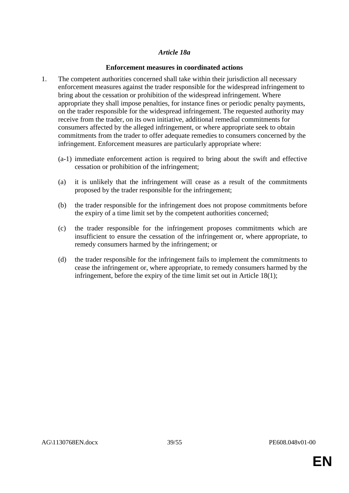## *Article 18a*

## **Enforcement measures in coordinated actions**

- 1. The competent authorities concerned shall take within their jurisdiction all necessary enforcement measures against the trader responsible for the widespread infringement to bring about the cessation or prohibition of the widespread infringement. Where appropriate they shall impose penalties, for instance fines or periodic penalty payments, on the trader responsible for the widespread infringement. The requested authority may receive from the trader, on its own initiative, additional remedial commitments for consumers affected by the alleged infringement, or where appropriate seek to obtain commitments from the trader to offer adequate remedies to consumers concerned by the infringement. Enforcement measures are particularly appropriate where:
	- (a-1) immediate enforcement action is required to bring about the swift and effective cessation or prohibition of the infringement;
	- (a) it is unlikely that the infringement will cease as a result of the commitments proposed by the trader responsible for the infringement;
	- (b) the trader responsible for the infringement does not propose commitments before the expiry of a time limit set by the competent authorities concerned;
	- (c) the trader responsible for the infringement proposes commitments which are insufficient to ensure the cessation of the infringement or, where appropriate, to remedy consumers harmed by the infringement; or
	- (d) the trader responsible for the infringement fails to implement the commitments to cease the infringement or, where appropriate, to remedy consumers harmed by the infringement, before the expiry of the time limit set out in Article 18(1);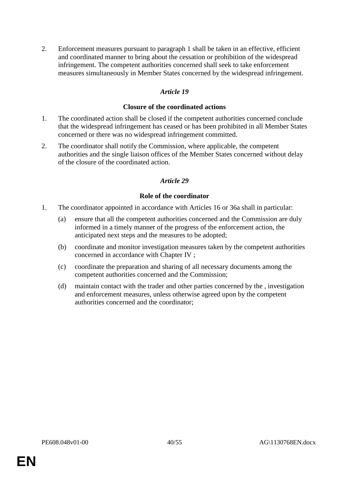2. Enforcement measures pursuant to paragraph 1 shall be taken in an effective, efficient and coordinated manner to bring about the cessation or prohibition of the widespread infringement. The competent authorities concerned shall seek to take enforcement measures simultaneously in Member States concerned by the widespread infringement.

## *Article 19*

#### **Closure of the coordinated actions**

- 1. The coordinated action shall be closed if the competent authorities concerned conclude that the widespread infringement has ceased or has been prohibited in all Member States concerned or there was no widespread infringement committed.
- 2. The coordinator shall notify the Commission, where applicable, the competent authorities and the single liaison offices of the Member States concerned without delay of the closure of the coordinated action.

## *Article 29*

#### **Role of the coordinator**

- 1. The coordinator appointed in accordance with Articles 16 or 36a shall in particular:
	- (a) ensure that all the competent authorities concerned and the Commission are duly informed in a timely manner of the progress of the enforcement action, the anticipated next steps and the measures to be adopted;
	- (b) coordinate and monitor investigation measures taken by the competent authorities concerned in accordance with Chapter IV ;
	- (c) coordinate the preparation and sharing of all necessary documents among the competent authorities concerned and the Commission;
	- (d) maintain contact with the trader and other parties concerned by the , investigation and enforcement measures, unless otherwise agreed upon by the competent authorities concerned and the coordinator;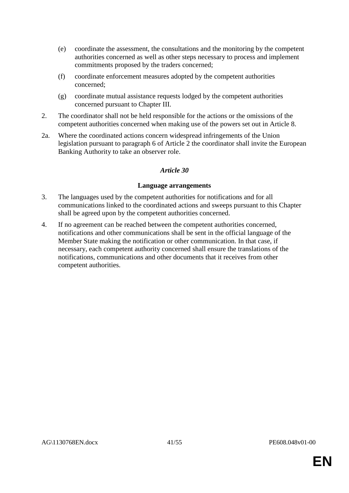- (e) coordinate the assessment, the consultations and the monitoring by the competent authorities concerned as well as other steps necessary to process and implement commitments proposed by the traders concerned;
- (f) coordinate enforcement measures adopted by the competent authorities concerned;
- (g) coordinate mutual assistance requests lodged by the competent authorities concerned pursuant to Chapter III.
- 2. The coordinator shall not be held responsible for the actions or the omissions of the competent authorities concerned when making use of the powers set out in Article 8.
- 2a. Where the coordinated actions concern widespread infringements of the Union legislation pursuant to paragraph 6 of Article 2 the coordinator shall invite the European Banking Authority to take an observer role.

#### **Language arrangements**

- 3. The languages used by the competent authorities for notifications and for all communications linked to the coordinated actions and sweeps pursuant to this Chapter shall be agreed upon by the competent authorities concerned.
- 4. If no agreement can be reached between the competent authorities concerned, notifications and other communications shall be sent in the official language of the Member State making the notification or other communication. In that case, if necessary, each competent authority concerned shall ensure the translations of the notifications, communications and other documents that it receives from other competent authorities.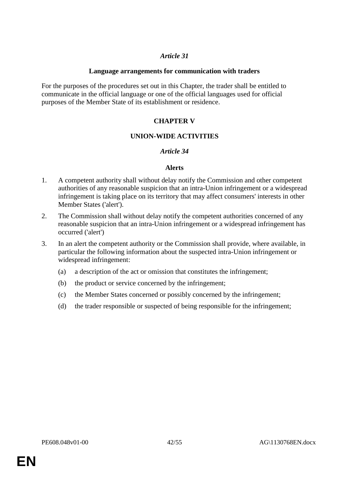#### **Language arrangements for communication with traders**

For the purposes of the procedures set out in this Chapter, the trader shall be entitled to communicate in the official language or one of the official languages used for official purposes of the Member State of its establishment or residence.

# **CHAPTER V**

## **UNION-WIDE ACTIVITIES**

#### *Article 34*

#### **Alerts**

- 1. A competent authority shall without delay notify the Commission and other competent authorities of any reasonable suspicion that an intra-Union infringement or a widespread infringement is taking place on its territory that may affect consumers' interests in other Member States ('alert').
- 2. The Commission shall without delay notify the competent authorities concerned of any reasonable suspicion that an intra-Union infringement or a widespread infringement has occurred ('alert')
- 3. In an alert the competent authority or the Commission shall provide, where available, in particular the following information about the suspected intra-Union infringement or widespread infringement:
	- (a) a description of the act or omission that constitutes the infringement;
	- (b) the product or service concerned by the infringement;
	- (c) the Member States concerned or possibly concerned by the infringement;
	- (d) the trader responsible or suspected of being responsible for the infringement;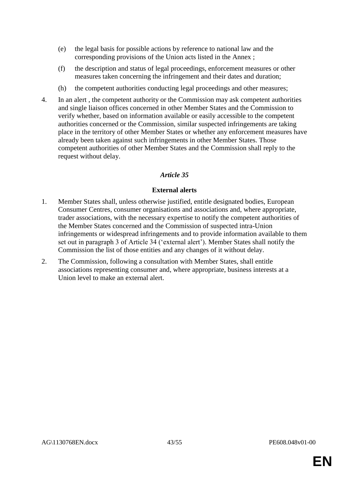- (e) the legal basis for possible actions by reference to national law and the corresponding provisions of the Union acts listed in the Annex ;
- (f) the description and status of legal proceedings, enforcement measures or other measures taken concerning the infringement and their dates and duration;
- (h) the competent authorities conducting legal proceedings and other measures;
- 4. In an alert , the competent authority or the Commission may ask competent authorities and single liaison offices concerned in other Member States and the Commission to verify whether, based on information available or easily accessible to the competent authorities concerned or the Commission, similar suspected infringements are taking place in the territory of other Member States or whether any enforcement measures have already been taken against such infringements in other Member States. Those competent authorities of other Member States and the Commission shall reply to the request without delay.

# **External alerts**

- 1. Member States shall, unless otherwise justified, entitle designated bodies, European Consumer Centres, consumer organisations and associations and, where appropriate, trader associations, with the necessary expertise to notify the competent authorities of the Member States concerned and the Commission of suspected intra-Union infringements or widespread infringements and to provide information available to them set out in paragraph 3 of Article 34 ('external alert'). Member States shall notify the Commission the list of those entities and any changes of it without delay.
- 2. The Commission, following a consultation with Member States, shall entitle associations representing consumer and, where appropriate, business interests at a Union level to make an external alert.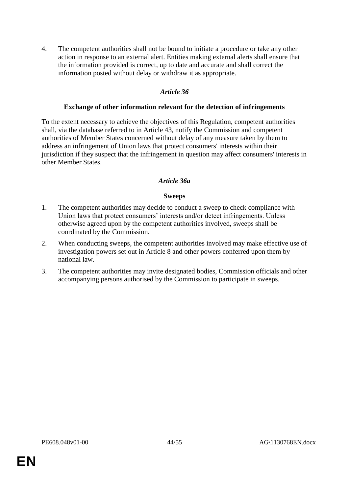4. The competent authorities shall not be bound to initiate a procedure or take any other action in response to an external alert. Entities making external alerts shall ensure that the information provided is correct, up to date and accurate and shall correct the information posted without delay or withdraw it as appropriate.

# *Article 36*

#### **Exchange of other information relevant for the detection of infringements**

To the extent necessary to achieve the objectives of this Regulation, competent authorities shall, via the database referred to in Article 43, notify the Commission and competent authorities of Member States concerned without delay of any measure taken by them to address an infringement of Union laws that protect consumers' interests within their jurisdiction if they suspect that the infringement in question may affect consumers' interests in other Member States.

## *Article 36a*

#### **Sweeps**

- 1. The competent authorities may decide to conduct a sweep to check compliance with Union laws that protect consumers' interests and/or detect infringements. Unless otherwise agreed upon by the competent authorities involved, sweeps shall be coordinated by the Commission.
- 2. When conducting sweeps, the competent authorities involved may make effective use of investigation powers set out in Article 8 and other powers conferred upon them by national law.
- 3. The competent authorities may invite designated bodies, Commission officials and other accompanying persons authorised by the Commission to participate in sweeps.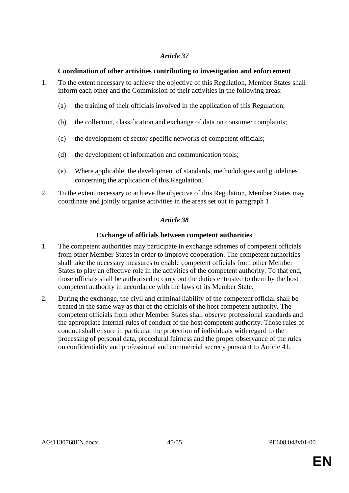# **Coordination of other activities contributing to investigation and enforcement**

- 1. To the extent necessary to achieve the objective of this Regulation, Member States shall inform each other and the Commission of their activities in the following areas:
	- (a) the training of their officials involved in the application of this Regulation;
	- (b) the collection, classification and exchange of data on consumer complaints;
	- (c) the development of sector-specific networks of competent officials;
	- (d) the development of information and communication tools;
	- (e) Where applicable, the development of standards, methodologies and guidelines concerning the application of this Regulation.
- 2. To the extent necessary to achieve the objective of this Regulation, Member States may coordinate and jointly organise activities in the areas set out in paragraph 1.

# *Article 38*

# **Exchange of officials between competent authorities**

- 1. The competent authorities may participate in exchange schemes of competent officials from other Member States in order to improve cooperation. The competent authorities shall take the necessary measures to enable competent officials from other Member States to play an effective role in the activities of the competent authority. To that end, those officials shall be authorised to carry out the duties entrusted to them by the host competent authority in accordance with the laws of its Member State.
- 2. During the exchange, the civil and criminal liability of the competent official shall be treated in the same way as that of the officials of the host competent authority. The competent officials from other Member States shall observe professional standards and the appropriate internal rules of conduct of the host competent authority. Those rules of conduct shall ensure in particular the protection of individuals with regard to the processing of personal data, procedural fairness and the proper observance of the rules on confidentiality and professional and commercial secrecy pursuant to Article 41.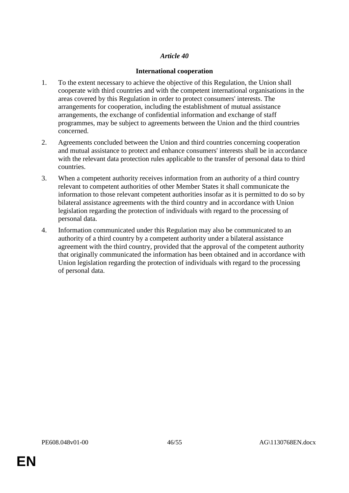# **International cooperation**

- 1. To the extent necessary to achieve the objective of this Regulation, the Union shall cooperate with third countries and with the competent international organisations in the areas covered by this Regulation in order to protect consumers' interests. The arrangements for cooperation, including the establishment of mutual assistance arrangements, the exchange of confidential information and exchange of staff programmes, may be subject to agreements between the Union and the third countries concerned.
- 2. Agreements concluded between the Union and third countries concerning cooperation and mutual assistance to protect and enhance consumers' interests shall be in accordance with the relevant data protection rules applicable to the transfer of personal data to third countries.
- 3. When a competent authority receives information from an authority of a third country relevant to competent authorities of other Member States it shall communicate the information to those relevant competent authorities insofar as it is permitted to do so by bilateral assistance agreements with the third country and in accordance with Union legislation regarding the protection of individuals with regard to the processing of personal data.
- 4. Information communicated under this Regulation may also be communicated to an authority of a third country by a competent authority under a bilateral assistance agreement with the third country, provided that the approval of the competent authority that originally communicated the information has been obtained and in accordance with Union legislation regarding the protection of individuals with regard to the processing of personal data.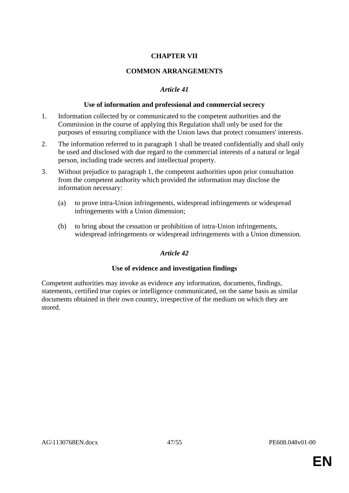# **CHAPTER VII**

# **COMMON ARRANGEMENTS**

# *Article 41*

## **Use of information and professional and commercial secrecy**

- 1. Information collected by or communicated to the competent authorities and the Commission in the course of applying this Regulation shall only be used for the purposes of ensuring compliance with the Union laws that protect consumers' interests.
- 2. The information referred to in paragraph 1 shall be treated confidentially and shall only be used and disclosed with due regard to the commercial interests of a natural or legal person, including trade secrets and intellectual property.
- 3. Without prejudice to paragraph 1, the competent authorities upon prior consultation from the competent authority which provided the information may disclose the information necessary:
	- (a) to prove intra-Union infringements, widespread infringements or widespread infringements with a Union dimension;
	- (b) to bring about the cessation or prohibition of intra-Union infringements, widespread infringements or widespread infringements with a Union dimension.

## *Article 42*

## **Use of evidence and investigation findings**

Competent authorities may invoke as evidence any information, documents, findings, statements, certified true copies or intelligence communicated, on the same basis as similar documents obtained in their own country, irrespective of the medium on which they are stored.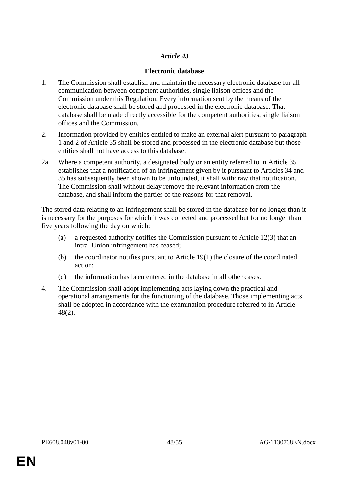# **Electronic database**

- 1. The Commission shall establish and maintain the necessary electronic database for all communication between competent authorities, single liaison offices and the Commission under this Regulation. Every information sent by the means of the electronic database shall be stored and processed in the electronic database. That database shall be made directly accessible for the competent authorities, single liaison offices and the Commission.
- 2. Information provided by entities entitled to make an external alert pursuant to paragraph 1 and 2 of Article 35 shall be stored and processed in the electronic database but those entities shall not have access to this database.
- 2a. Where a competent authority, a designated body or an entity referred to in Article 35 establishes that a notification of an infringement given by it pursuant to Articles 34 and 35 has subsequently been shown to be unfounded, it shall withdraw that notification. The Commission shall without delay remove the relevant information from the database, and shall inform the parties of the reasons for that removal.

The stored data relating to an infringement shall be stored in the database for no longer than it is necessary for the purposes for which it was collected and processed but for no longer than five years following the day on which:

- (a) a requested authority notifies the Commission pursuant to Article 12(3) that an intra- Union infringement has ceased;
- (b) the coordinator notifies pursuant to Article 19(1) the closure of the coordinated action;
- (d) the information has been entered in the database in all other cases.
- 4. The Commission shall adopt implementing acts laying down the practical and operational arrangements for the functioning of the database. Those implementing acts shall be adopted in accordance with the examination procedure referred to in Article 48(2).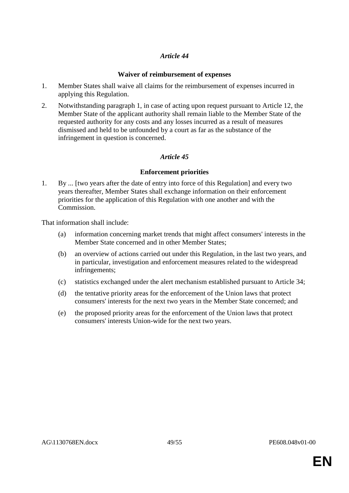# **Waiver of reimbursement of expenses**

- 1. Member States shall waive all claims for the reimbursement of expenses incurred in applying this Regulation.
- 2. Notwithstanding paragraph 1, in case of acting upon request pursuant to Article 12, the Member State of the applicant authority shall remain liable to the Member State of the requested authority for any costs and any losses incurred as a result of measures dismissed and held to be unfounded by a court as far as the substance of the infringement in question is concerned.

# *Article 45*

# **Enforcement priorities**

1. By ... [two years after the date of entry into force of this Regulation] and every two years thereafter, Member States shall exchange information on their enforcement priorities for the application of this Regulation with one another and with the Commission.

That information shall include:

- (a) information concerning market trends that might affect consumers' interests in the Member State concerned and in other Member States;
- (b) an overview of actions carried out under this Regulation, in the last two years, and in particular, investigation and enforcement measures related to the widespread infringements;
- (c) statistics exchanged under the alert mechanism established pursuant to Article 34;
- (d) the tentative priority areas for the enforcement of the Union laws that protect consumers' interests for the next two years in the Member State concerned; and
- (e) the proposed priority areas for the enforcement of the Union laws that protect consumers' interests Union-wide for the next two years.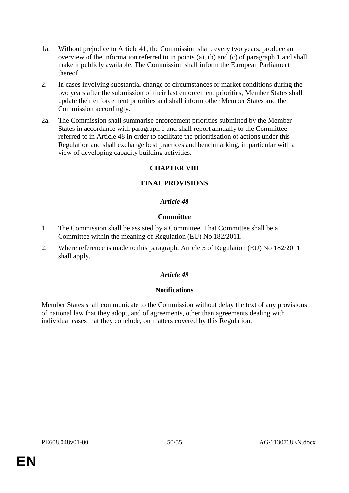- 1a. Without prejudice to Article 41, the Commission shall, every two years, produce an overview of the information referred to in points (a), (b) and (c) of paragraph 1 and shall make it publicly available. The Commission shall inform the European Parliament thereof.
- 2. In cases involving substantial change of circumstances or market conditions during the two years after the submission of their last enforcement priorities, Member States shall update their enforcement priorities and shall inform other Member States and the Commission accordingly.
- 2a. The Commission shall summarise enforcement priorities submitted by the Member States in accordance with paragraph 1 and shall report annually to the Committee referred to in Article 48 in order to facilitate the prioritisation of actions under this Regulation and shall exchange best practices and benchmarking, in particular with a view of developing capacity building activities.

## **CHAPTER VIII**

## **FINAL PROVISIONS**

## *Article 48*

#### **Committee**

- 1. The Commission shall be assisted by a Committee. That Committee shall be a Committee within the meaning of Regulation (EU) No 182/2011.
- 2. Where reference is made to this paragraph, Article 5 of Regulation (EU) No 182/2011 shall apply.

# *Article 49*

## **Notifications**

Member States shall communicate to the Commission without delay the text of any provisions of national law that they adopt, and of agreements, other than agreements dealing with individual cases that they conclude, on matters covered by this Regulation.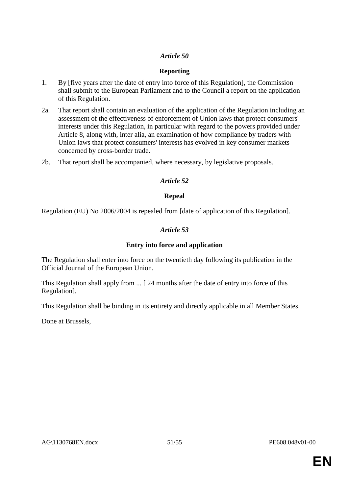# **Reporting**

- 1. By [five years after the date of entry into force of this Regulation], the Commission shall submit to the European Parliament and to the Council a report on the application of this Regulation.
- 2a. That report shall contain an evaluation of the application of the Regulation including an assessment of the effectiveness of enforcement of Union laws that protect consumers' interests under this Regulation, in particular with regard to the powers provided under Article 8, along with, inter alia, an examination of how compliance by traders with Union laws that protect consumers' interests has evolved in key consumer markets concerned by cross-border trade.
- 2b. That report shall be accompanied, where necessary, by legislative proposals.

## *Article 52*

## **Repeal**

Regulation (EU) No 2006/2004 is repealed from [date of application of this Regulation].

# *Article 53*

# **Entry into force and application**

The Regulation shall enter into force on the twentieth day following its publication in the Official Journal of the European Union.

This Regulation shall apply from ... [ 24 months after the date of entry into force of this Regulation].

This Regulation shall be binding in its entirety and directly applicable in all Member States.

Done at Brussels,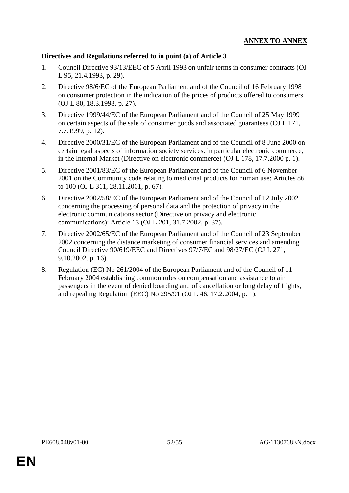# **ANNEX TO ANNEX**

## **Directives and Regulations referred to in point (a) of Article 3**

- 1. Council Directive 93/13/EEC of 5 April 1993 on unfair terms in consumer contracts (OJ L 95, 21.4.1993, p. 29).
- 2. Directive 98/6/EC of the European Parliament and of the Council of 16 February 1998 on consumer protection in the indication of the prices of products offered to consumers (OJ L 80, 18.3.1998, p. 27).
- 3. Directive 1999/44/EC of the European Parliament and of the Council of 25 May 1999 on certain aspects of the sale of consumer goods and associated guarantees (OJ L 171, 7.7.1999, p. 12).
- 4. Directive 2000/31/EC of the European Parliament and of the Council of 8 June 2000 on certain legal aspects of information society services, in particular electronic commerce, in the Internal Market (Directive on electronic commerce) (OJ L 178, 17.7.2000 p. 1).
- 5. Directive 2001/83/EC of the European Parliament and of the Council of 6 November 2001 on the Community code relating to medicinal products for human use: Articles 86 to 100 (OJ L 311, 28.11.2001, p. 67).
- 6. Directive 2002/58/EC of the European Parliament and of the Council of 12 July 2002 concerning the processing of personal data and the protection of privacy in the electronic communications sector (Directive on privacy and electronic communications): Article 13 (OJ L 201, 31.7.2002, p. 37).
- 7. Directive 2002/65/EC of the European Parliament and of the Council of 23 September 2002 concerning the distance marketing of consumer financial services and amending Council Directive 90/619/EEC and Directives 97/7/EC and 98/27/EC (OJ L 271, 9.10.2002, p. 16).
- 8. Regulation (EC) No 261/2004 of the European Parliament and of the Council of 11 February 2004 establishing common rules on compensation and assistance to air passengers in the event of denied boarding and of cancellation or long delay of flights, and repealing Regulation (EEC) No 295/91 (OJ L 46, 17.2.2004, p. 1).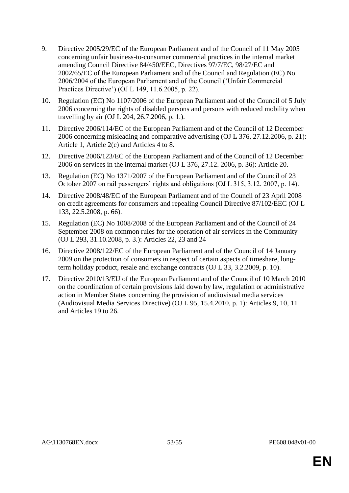- 9. Directive 2005/29/EC of the European Parliament and of the Council of 11 May 2005 concerning unfair business-to-consumer commercial practices in the internal market amending Council Directive 84/450/EEC, Directives 97/7/EC, 98/27/EC and 2002/65/EC of the European Parliament and of the Council and Regulation (EC) No 2006/2004 of the European Parliament and of the Council ('Unfair Commercial Practices Directive') (OJ L 149, 11.6.2005, p. 22).
- 10. Regulation (EC) No 1107/2006 of the European Parliament and of the Council of 5 July 2006 concerning the rights of disabled persons and persons with reduced mobility when travelling by air (OJ L 204, 26.7.2006, p. 1.).
- 11. Directive 2006/114/EC of the European Parliament and of the Council of 12 December 2006 concerning misleading and comparative advertising (OJ L 376, 27.12.2006, p. 21): Article 1, Article 2(c) and Articles 4 to 8.
- 12. Directive 2006/123/EC of the European Parliament and of the Council of 12 December 2006 on services in the internal market (OJ L 376, 27.12. 2006, p. 36): Article 20.
- 13. Regulation (EC) No 1371/2007 of the European Parliament and of the Council of 23 October 2007 on rail passengers' rights and obligations (OJ L 315, 3.12. 2007, p. 14).
- 14. Directive 2008/48/EC of the European Parliament and of the Council of 23 April 2008 on credit agreements for consumers and repealing Council Directive 87/102/EEC (OJ L 133, 22.5.2008, p. 66).
- 15. Regulation (EC) No 1008/2008 of the European Parliament and of the Council of 24 September 2008 on common rules for the operation of air services in the Community (OJ L 293, 31.10.2008, p. 3.): Articles 22, 23 and 24
- 16. Directive 2008/122/EC of the European Parliament and of the Council of 14 January 2009 on the protection of consumers in respect of certain aspects of timeshare, longterm holiday product, resale and exchange contracts (OJ L 33, 3.2.2009, p. 10).
- 17. Directive 2010/13/EU of the European Parliament and of the Council of 10 March 2010 on the coordination of certain provisions laid down by law, regulation or administrative action in Member States concerning the provision of audiovisual media services (Audiovisual Media Services Directive) (OJ L 95, 15.4.2010, p. 1): Articles 9, 10, 11 and Articles 19 to 26.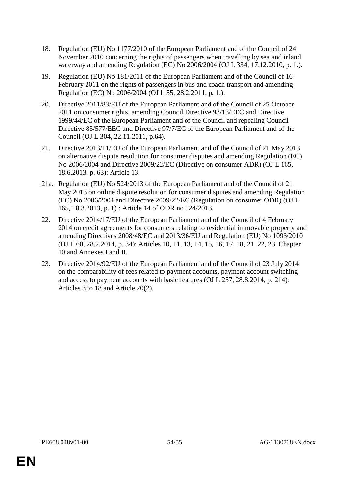- 18. Regulation (EU) No 1177/2010 of the European Parliament and of the Council of 24 November 2010 concerning the rights of passengers when travelling by sea and inland waterway and amending Regulation (EC) No 2006/2004 (OJ L 334, 17.12.2010, p. 1.).
- 19. Regulation (EU) No 181/2011 of the European Parliament and of the Council of 16 February 2011 on the rights of passengers in bus and coach transport and amending Regulation (EC) No 2006/2004 (OJ L 55, 28.2.2011, p. 1.).
- 20. Directive 2011/83/EU of the European Parliament and of the Council of 25 October 2011 on consumer rights, amending Council Directive 93/13/EEC and Directive 1999/44/EC of the European Parliament and of the Council and repealing Council Directive 85/577/EEC and Directive 97/7/EC of the European Parliament and of the Council (OJ L 304, 22.11.2011, p.64).
- 21. Directive 2013/11/EU of the European Parliament and of the Council of 21 May 2013 on alternative dispute resolution for consumer disputes and amending Regulation (EC) No 2006/2004 and Directive 2009/22/EC (Directive on consumer ADR) (OJ L 165, 18.6.2013, p. 63): Article 13.
- 21a. Regulation (EU) No 524/2013 of the European Parliament and of the Council of 21 May 2013 on online dispute resolution for consumer disputes and amending Regulation (EC) No 2006/2004 and Directive 2009/22/EC (Regulation on consumer ODR) (OJ L 165, 18.3.2013, p. 1) : Article 14 of ODR no 524/2013.
- 22. Directive 2014/17/EU of the European Parliament and of the Council of 4 February 2014 on credit agreements for consumers relating to residential immovable property and amending Directives 2008/48/EC and 2013/36/EU and Regulation (EU) No 1093/2010 (OJ L 60, 28.2.2014, p. 34): Articles 10, 11, 13, 14, 15, 16, 17, 18, 21, 22, 23, Chapter 10 and Annexes I and II.
- 23. Directive 2014/92/EU of the European Parliament and of the Council of 23 July 2014 on the comparability of fees related to payment accounts, payment account switching and access to payment accounts with basic features (OJ L 257, 28.8.2014, p. 214): Articles 3 to 18 and Article 20(2).